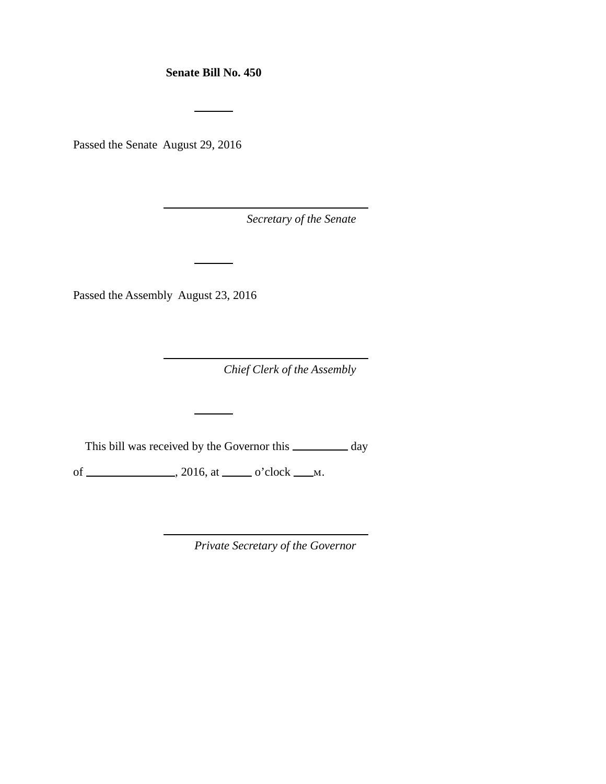**Senate Bill No. 450**

Passed the Senate August 29, 2016

*Secretary of the Senate*

Passed the Assembly August 23, 2016

*Chief Clerk of the Assembly*

This bill was received by the Governor this \_\_\_\_\_\_\_\_ day

of  $\_\_\_\_\_\_\$ , 2016, at  $\_\_\_\_\$  o'clock  $\_\_\_\_\$ .

*Private Secretary of the Governor*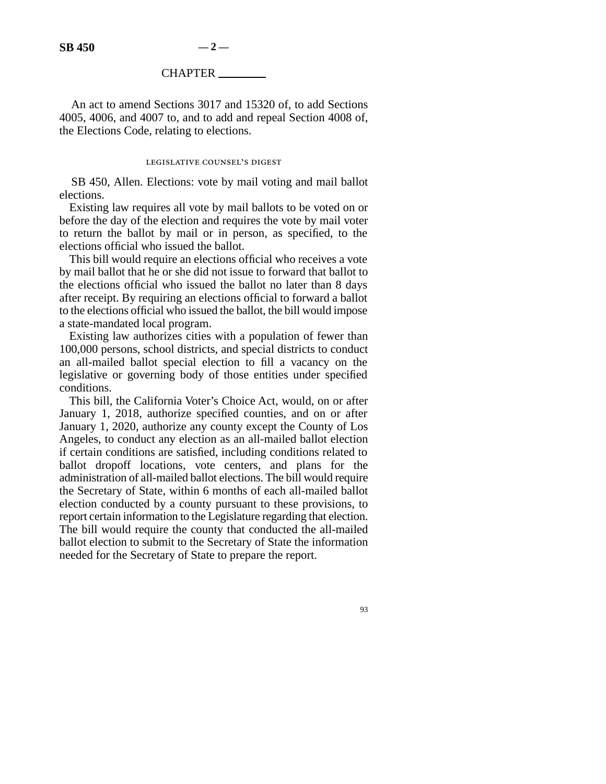## CHAPTER

An act to amend Sections 3017 and 15320 of, to add Sections 4005, 4006, and 4007 to, and to add and repeal Section 4008 of, the Elections Code, relating to elections.

## LEGISLATIVE COUNSEL'S DIGEST

SB 450, Allen. Elections: vote by mail voting and mail ballot elections.

Existing law requires all vote by mail ballots to be voted on or before the day of the election and requires the vote by mail voter to return the ballot by mail or in person, as specified, to the elections official who issued the ballot.

This bill would require an elections official who receives a vote by mail ballot that he or she did not issue to forward that ballot to the elections official who issued the ballot no later than 8 days after receipt. By requiring an elections official to forward a ballot to the elections official who issued the ballot, the bill would impose a state-mandated local program.

Existing law authorizes cities with a population of fewer than 100,000 persons, school districts, and special districts to conduct an all-mailed ballot special election to fill a vacancy on the legislative or governing body of those entities under specified conditions.

This bill, the California Voter's Choice Act, would, on or after January 1, 2018, authorize specified counties, and on or after January 1, 2020, authorize any county except the County of Los Angeles, to conduct any election as an all-mailed ballot election if certain conditions are satisfied, including conditions related to ballot dropoff locations, vote centers, and plans for the administration of all-mailed ballot elections. The bill would require the Secretary of State, within 6 months of each all-mailed ballot election conducted by a county pursuant to these provisions, to report certain information to the Legislature regarding that election. The bill would require the county that conducted the all-mailed ballot election to submit to the Secretary of State the information needed for the Secretary of State to prepare the report.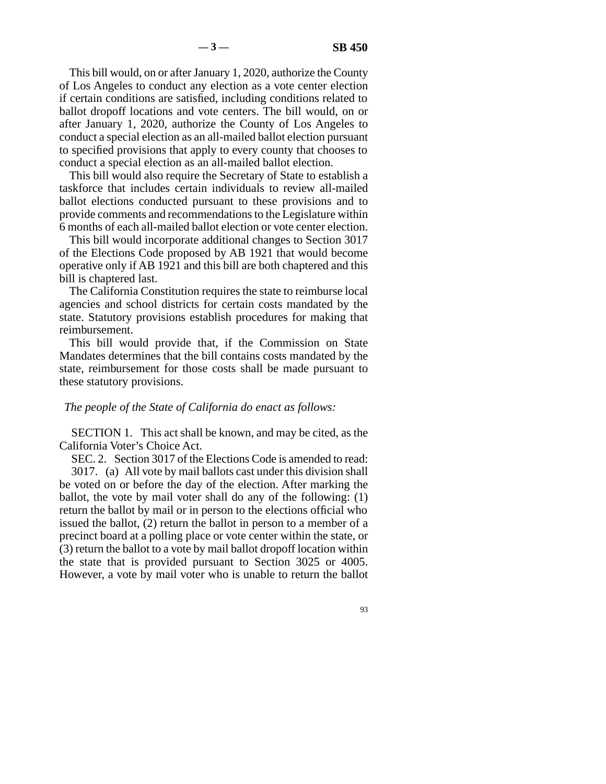This bill would, on or after January 1, 2020, authorize the County of Los Angeles to conduct any election as a vote center election if certain conditions are satisfied, including conditions related to ballot dropoff locations and vote centers. The bill would, on or after January 1, 2020, authorize the County of Los Angeles to conduct a special election as an all-mailed ballot election pursuant to specified provisions that apply to every county that chooses to conduct a special election as an all-mailed ballot election.

This bill would also require the Secretary of State to establish a taskforce that includes certain individuals to review all-mailed ballot elections conducted pursuant to these provisions and to provide comments and recommendations to the Legislature within 6 months of each all-mailed ballot election or vote center election.

This bill would incorporate additional changes to Section 3017 of the Elections Code proposed by AB 1921 that would become operative only if AB 1921 and this bill are both chaptered and this bill is chaptered last.

The California Constitution requires the state to reimburse local agencies and school districts for certain costs mandated by the state. Statutory provisions establish procedures for making that reimbursement.

This bill would provide that, if the Commission on State Mandates determines that the bill contains costs mandated by the state, reimbursement for those costs shall be made pursuant to these statutory provisions.

## *The people of the State of California do enact as follows:*

SECTION 1. This act shall be known, and may be cited, as the California Voter's Choice Act.

SEC. 2. Section 3017 of the Elections Code is amended to read:

3017. (a) All vote by mail ballots cast under this division shall be voted on or before the day of the election. After marking the ballot, the vote by mail voter shall do any of the following: (1) return the ballot by mail or in person to the elections official who issued the ballot, (2) return the ballot in person to a member of a precinct board at a polling place or vote center within the state, or (3) return the ballot to a vote by mail ballot dropoff location within the state that is provided pursuant to Section 3025 or 4005. However, a vote by mail voter who is unable to return the ballot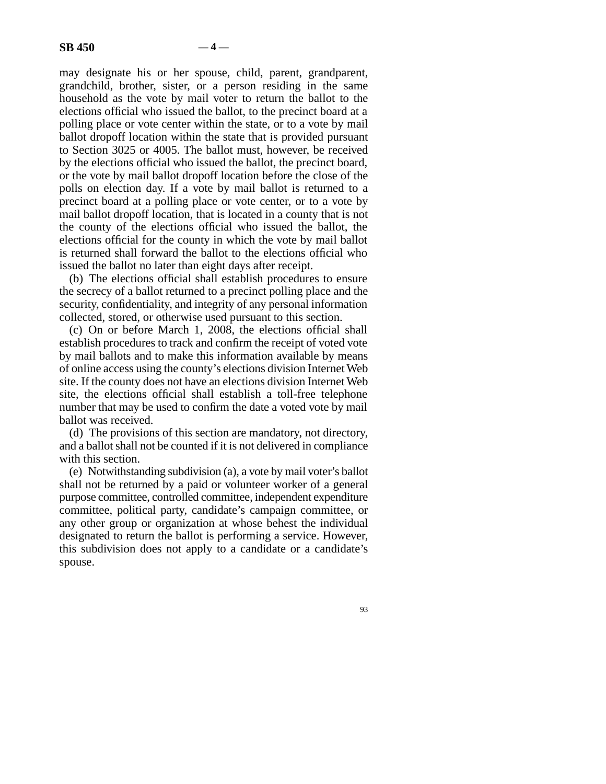may designate his or her spouse, child, parent, grandparent, grandchild, brother, sister, or a person residing in the same household as the vote by mail voter to return the ballot to the elections official who issued the ballot, to the precinct board at a polling place or vote center within the state, or to a vote by mail ballot dropoff location within the state that is provided pursuant to Section 3025 or 4005. The ballot must, however, be received by the elections official who issued the ballot, the precinct board, or the vote by mail ballot dropoff location before the close of the polls on election day. If a vote by mail ballot is returned to a precinct board at a polling place or vote center, or to a vote by mail ballot dropoff location, that is located in a county that is not the county of the elections official who issued the ballot, the elections official for the county in which the vote by mail ballot is returned shall forward the ballot to the elections official who issued the ballot no later than eight days after receipt.

(b) The elections official shall establish procedures to ensure the secrecy of a ballot returned to a precinct polling place and the security, confidentiality, and integrity of any personal information collected, stored, or otherwise used pursuant to this section.

(c) On or before March 1, 2008, the elections official shall establish procedures to track and confirm the receipt of voted vote by mail ballots and to make this information available by means of online access using the county's elections division Internet Web site. If the county does not have an elections division Internet Web site, the elections official shall establish a toll-free telephone number that may be used to confirm the date a voted vote by mail ballot was received.

(d) The provisions of this section are mandatory, not directory, and a ballot shall not be counted if it is not delivered in compliance with this section.

(e) Notwithstanding subdivision (a), a vote by mail voter's ballot shall not be returned by a paid or volunteer worker of a general purpose committee, controlled committee, independent expenditure committee, political party, candidate's campaign committee, or any other group or organization at whose behest the individual designated to return the ballot is performing a service. However, this subdivision does not apply to a candidate or a candidate's spouse.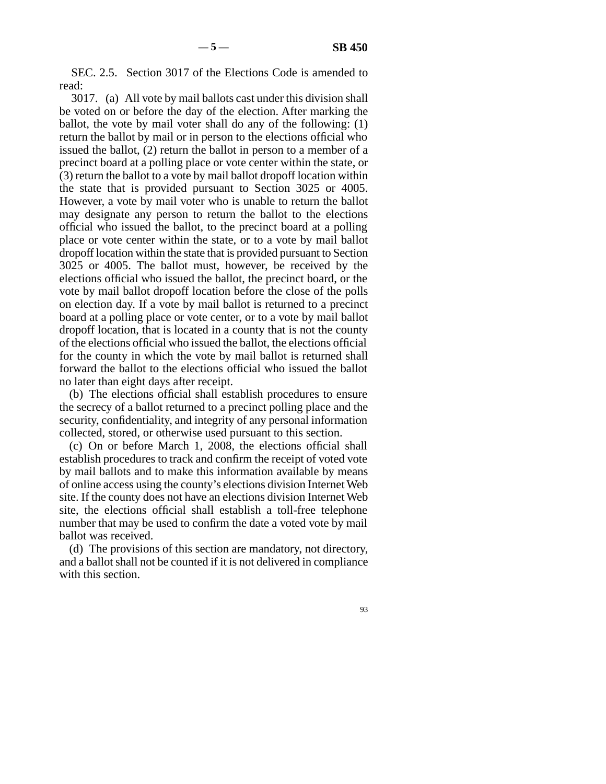SEC. 2.5. Section 3017 of the Elections Code is amended to read:

3017. (a) All vote by mail ballots cast under this division shall be voted on or before the day of the election. After marking the ballot, the vote by mail voter shall do any of the following: (1) return the ballot by mail or in person to the elections official who issued the ballot, (2) return the ballot in person to a member of a precinct board at a polling place or vote center within the state, or (3) return the ballot to a vote by mail ballot dropoff location within the state that is provided pursuant to Section 3025 or 4005. However, a vote by mail voter who is unable to return the ballot may designate any person to return the ballot to the elections official who issued the ballot, to the precinct board at a polling place or vote center within the state, or to a vote by mail ballot dropoff location within the state that is provided pursuant to Section 3025 or 4005. The ballot must, however, be received by the elections official who issued the ballot, the precinct board, or the vote by mail ballot dropoff location before the close of the polls on election day. If a vote by mail ballot is returned to a precinct board at a polling place or vote center, or to a vote by mail ballot dropoff location, that is located in a county that is not the county of the elections official who issued the ballot, the elections official for the county in which the vote by mail ballot is returned shall forward the ballot to the elections official who issued the ballot no later than eight days after receipt.

(b) The elections official shall establish procedures to ensure the secrecy of a ballot returned to a precinct polling place and the security, confidentiality, and integrity of any personal information collected, stored, or otherwise used pursuant to this section.

(c) On or before March 1, 2008, the elections official shall establish procedures to track and confirm the receipt of voted vote by mail ballots and to make this information available by means of online access using the county's elections division Internet Web site. If the county does not have an elections division Internet Web site, the elections official shall establish a toll-free telephone number that may be used to confirm the date a voted vote by mail ballot was received.

(d) The provisions of this section are mandatory, not directory, and a ballot shall not be counted if it is not delivered in compliance with this section.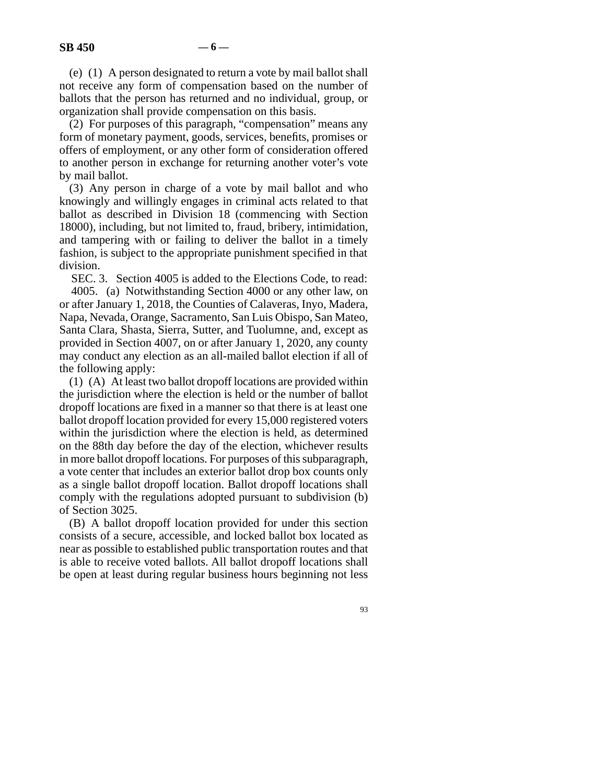(e) (1) A person designated to return a vote by mail ballot shall not receive any form of compensation based on the number of ballots that the person has returned and no individual, group, or organization shall provide compensation on this basis.

(2) For purposes of this paragraph, "compensation" means any form of monetary payment, goods, services, benefits, promises or offers of employment, or any other form of consideration offered to another person in exchange for returning another voter's vote by mail ballot.

(3) Any person in charge of a vote by mail ballot and who knowingly and willingly engages in criminal acts related to that ballot as described in Division 18 (commencing with Section 18000), including, but not limited to, fraud, bribery, intimidation, and tampering with or failing to deliver the ballot in a timely fashion, is subject to the appropriate punishment specified in that division.

SEC. 3. Section 4005 is added to the Elections Code, to read:

4005. (a) Notwithstanding Section 4000 or any other law, on or after January 1, 2018, the Counties of Calaveras, Inyo, Madera, Napa, Nevada, Orange, Sacramento, San Luis Obispo, San Mateo, Santa Clara, Shasta, Sierra, Sutter, and Tuolumne, and, except as provided in Section 4007, on or after January 1, 2020, any county may conduct any election as an all-mailed ballot election if all of the following apply:

(1) (A) At least two ballot dropoff locations are provided within the jurisdiction where the election is held or the number of ballot dropoff locations are fixed in a manner so that there is at least one ballot dropoff location provided for every 15,000 registered voters within the jurisdiction where the election is held, as determined on the 88th day before the day of the election, whichever results in more ballot dropoff locations. For purposes of this subparagraph, a vote center that includes an exterior ballot drop box counts only as a single ballot dropoff location. Ballot dropoff locations shall comply with the regulations adopted pursuant to subdivision (b) of Section 3025.

(B) A ballot dropoff location provided for under this section consists of a secure, accessible, and locked ballot box located as near as possible to established public transportation routes and that is able to receive voted ballots. All ballot dropoff locations shall be open at least during regular business hours beginning not less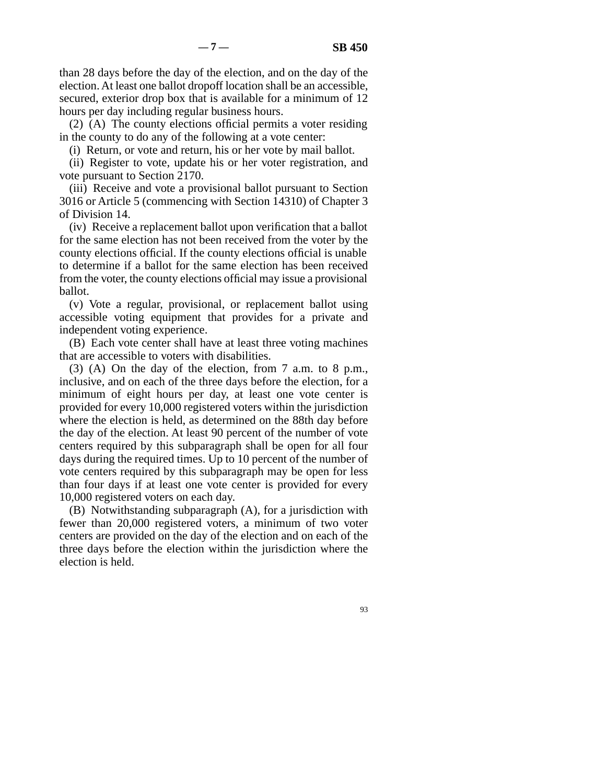than 28 days before the day of the election, and on the day of the election. At least one ballot dropoff location shall be an accessible, secured, exterior drop box that is available for a minimum of 12 hours per day including regular business hours.

(2) (A) The county elections official permits a voter residing in the county to do any of the following at a vote center:

(i) Return, or vote and return, his or her vote by mail ballot.

(ii) Register to vote, update his or her voter registration, and vote pursuant to Section 2170.

(iii) Receive and vote a provisional ballot pursuant to Section 3016 or Article 5 (commencing with Section 14310) of Chapter 3 of Division 14.

(iv) Receive a replacement ballot upon verification that a ballot for the same election has not been received from the voter by the county elections official. If the county elections official is unable to determine if a ballot for the same election has been received from the voter, the county elections official may issue a provisional ballot.

(v) Vote a regular, provisional, or replacement ballot using accessible voting equipment that provides for a private and independent voting experience.

(B) Each vote center shall have at least three voting machines that are accessible to voters with disabilities.

(3) (A) On the day of the election, from 7 a.m. to 8 p.m., inclusive, and on each of the three days before the election, for a minimum of eight hours per day, at least one vote center is provided for every 10,000 registered voters within the jurisdiction where the election is held, as determined on the 88th day before the day of the election. At least 90 percent of the number of vote centers required by this subparagraph shall be open for all four days during the required times. Up to 10 percent of the number of vote centers required by this subparagraph may be open for less than four days if at least one vote center is provided for every 10,000 registered voters on each day.

(B) Notwithstanding subparagraph (A), for a jurisdiction with fewer than 20,000 registered voters, a minimum of two voter centers are provided on the day of the election and on each of the three days before the election within the jurisdiction where the election is held.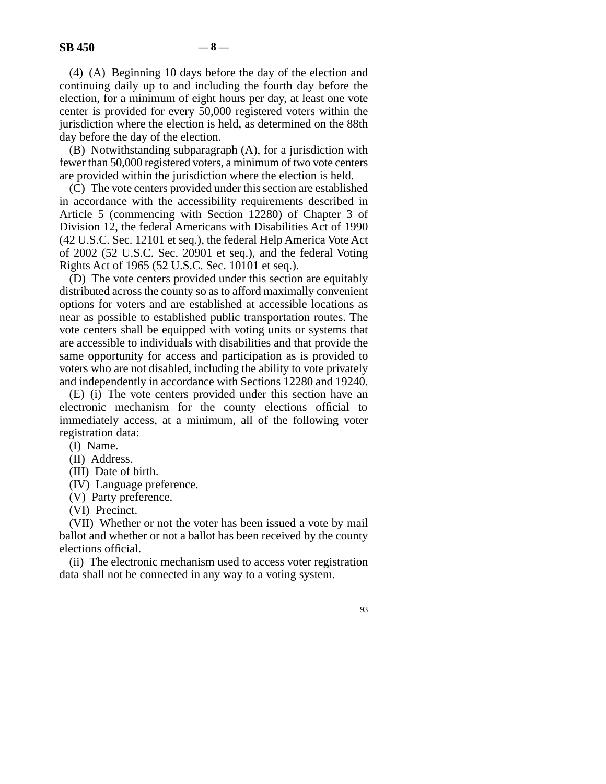(4) (A) Beginning 10 days before the day of the election and continuing daily up to and including the fourth day before the election, for a minimum of eight hours per day, at least one vote center is provided for every 50,000 registered voters within the jurisdiction where the election is held, as determined on the 88th day before the day of the election.

(B) Notwithstanding subparagraph (A), for a jurisdiction with fewer than 50,000 registered voters, a minimum of two vote centers are provided within the jurisdiction where the election is held.

(C) The vote centers provided under this section are established in accordance with the accessibility requirements described in Article 5 (commencing with Section 12280) of Chapter 3 of Division 12, the federal Americans with Disabilities Act of 1990 (42 U.S.C. Sec. 12101 et seq.), the federal Help America Vote Act of 2002 (52 U.S.C. Sec. 20901 et seq.), and the federal Voting Rights Act of 1965 (52 U.S.C. Sec. 10101 et seq.).

(D) The vote centers provided under this section are equitably distributed across the county so as to afford maximally convenient options for voters and are established at accessible locations as near as possible to established public transportation routes. The vote centers shall be equipped with voting units or systems that are accessible to individuals with disabilities and that provide the same opportunity for access and participation as is provided to voters who are not disabled, including the ability to vote privately and independently in accordance with Sections 12280 and 19240.

(E) (i) The vote centers provided under this section have an electronic mechanism for the county elections official to immediately access, at a minimum, all of the following voter registration data:

(I) Name.

(II) Address.

(III) Date of birth.

(IV) Language preference.

(V) Party preference.

(VI) Precinct.

(VII) Whether or not the voter has been issued a vote by mail ballot and whether or not a ballot has been received by the county elections official.

(ii) The electronic mechanism used to access voter registration data shall not be connected in any way to a voting system.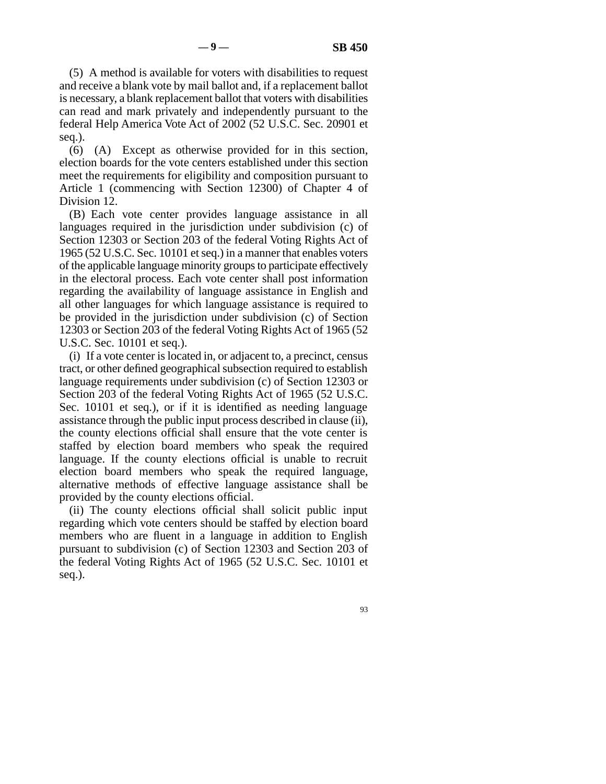(5) A method is available for voters with disabilities to request and receive a blank vote by mail ballot and, if a replacement ballot is necessary, a blank replacement ballot that voters with disabilities can read and mark privately and independently pursuant to the federal Help America Vote Act of 2002 (52 U.S.C. Sec. 20901 et seq.).

(6) (A) Except as otherwise provided for in this section, election boards for the vote centers established under this section meet the requirements for eligibility and composition pursuant to Article 1 (commencing with Section 12300) of Chapter 4 of Division 12.

(B) Each vote center provides language assistance in all languages required in the jurisdiction under subdivision (c) of Section 12303 or Section 203 of the federal Voting Rights Act of 1965 (52 U.S.C. Sec. 10101 et seq.) in a manner that enables voters of the applicable language minority groups to participate effectively in the electoral process. Each vote center shall post information regarding the availability of language assistance in English and all other languages for which language assistance is required to be provided in the jurisdiction under subdivision (c) of Section 12303 or Section 203 of the federal Voting Rights Act of 1965 (52 U.S.C. Sec. 10101 et seq.).

(i) If a vote center is located in, or adjacent to, a precinct, census tract, or other defined geographical subsection required to establish language requirements under subdivision (c) of Section 12303 or Section 203 of the federal Voting Rights Act of 1965 (52 U.S.C. Sec. 10101 et seq.), or if it is identified as needing language assistance through the public input process described in clause (ii), the county elections official shall ensure that the vote center is staffed by election board members who speak the required language. If the county elections official is unable to recruit election board members who speak the required language, alternative methods of effective language assistance shall be provided by the county elections official.

(ii) The county elections official shall solicit public input regarding which vote centers should be staffed by election board members who are fluent in a language in addition to English pursuant to subdivision (c) of Section 12303 and Section 203 of the federal Voting Rights Act of 1965 (52 U.S.C. Sec. 10101 et seq.).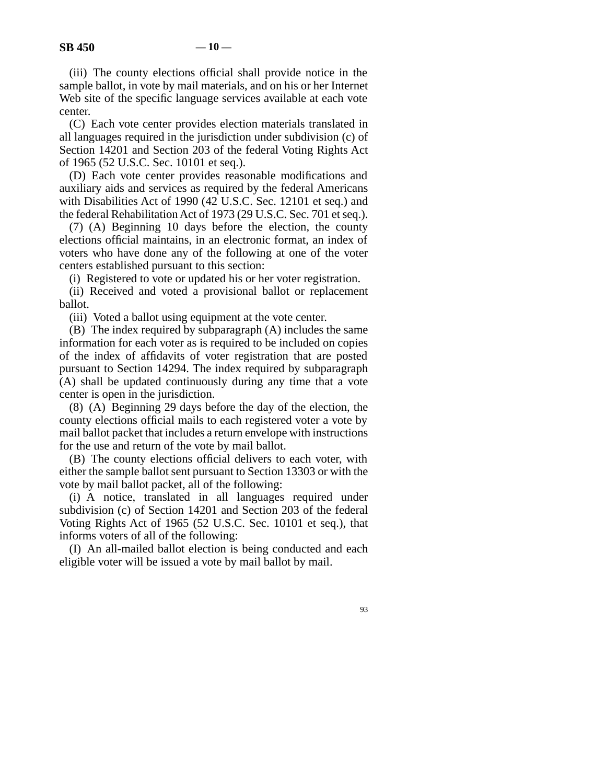(iii) The county elections official shall provide notice in the sample ballot, in vote by mail materials, and on his or her Internet Web site of the specific language services available at each vote center.

(C) Each vote center provides election materials translated in all languages required in the jurisdiction under subdivision (c) of Section 14201 and Section 203 of the federal Voting Rights Act of 1965 (52 U.S.C. Sec. 10101 et seq.).

(D) Each vote center provides reasonable modifications and auxiliary aids and services as required by the federal Americans with Disabilities Act of 1990 (42 U.S.C. Sec. 12101 et seq.) and the federal Rehabilitation Act of 1973 (29 U.S.C. Sec. 701 et seq.).

(7) (A) Beginning 10 days before the election, the county elections official maintains, in an electronic format, an index of voters who have done any of the following at one of the voter centers established pursuant to this section:

(i) Registered to vote or updated his or her voter registration.

(ii) Received and voted a provisional ballot or replacement ballot.

(iii) Voted a ballot using equipment at the vote center.

(B) The index required by subparagraph (A) includes the same information for each voter as is required to be included on copies of the index of affidavits of voter registration that are posted pursuant to Section 14294. The index required by subparagraph (A) shall be updated continuously during any time that a vote center is open in the jurisdiction.

(8) (A) Beginning 29 days before the day of the election, the county elections official mails to each registered voter a vote by mail ballot packet that includes a return envelope with instructions for the use and return of the vote by mail ballot.

(B) The county elections official delivers to each voter, with either the sample ballot sent pursuant to Section 13303 or with the vote by mail ballot packet, all of the following:

(i) A notice, translated in all languages required under subdivision (c) of Section 14201 and Section 203 of the federal Voting Rights Act of 1965 (52 U.S.C. Sec. 10101 et seq.), that informs voters of all of the following:

(I) An all-mailed ballot election is being conducted and each eligible voter will be issued a vote by mail ballot by mail.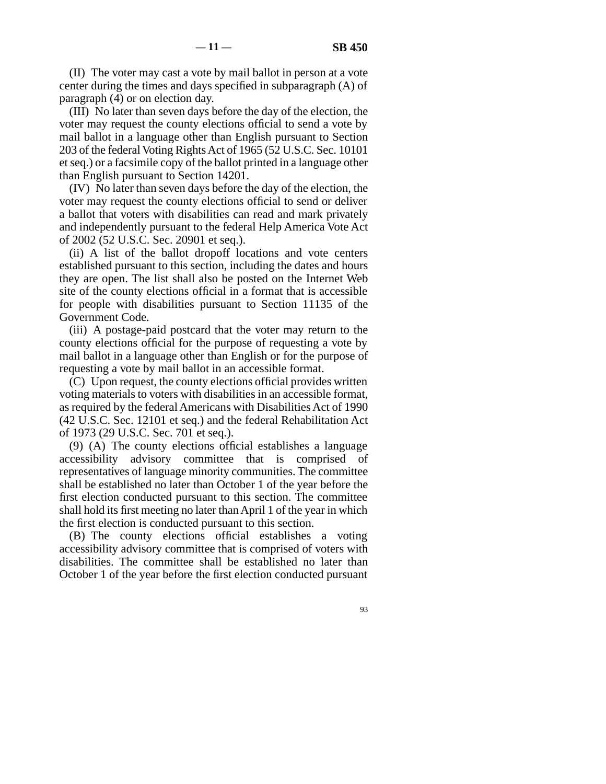(II) The voter may cast a vote by mail ballot in person at a vote center during the times and days specified in subparagraph (A) of paragraph (4) or on election day.

(III) No later than seven days before the day of the election, the voter may request the county elections official to send a vote by mail ballot in a language other than English pursuant to Section 203 of the federal Voting Rights Act of 1965 (52 U.S.C. Sec. 10101 et seq.) or a facsimile copy of the ballot printed in a language other than English pursuant to Section 14201.

(IV) No later than seven days before the day of the election, the voter may request the county elections official to send or deliver a ballot that voters with disabilities can read and mark privately and independently pursuant to the federal Help America Vote Act of 2002 (52 U.S.C. Sec. 20901 et seq.).

(ii) A list of the ballot dropoff locations and vote centers established pursuant to this section, including the dates and hours they are open. The list shall also be posted on the Internet Web site of the county elections official in a format that is accessible for people with disabilities pursuant to Section 11135 of the Government Code.

(iii) A postage-paid postcard that the voter may return to the county elections official for the purpose of requesting a vote by mail ballot in a language other than English or for the purpose of requesting a vote by mail ballot in an accessible format.

(C) Upon request, the county elections official provides written voting materials to voters with disabilities in an accessible format, as required by the federal Americans with Disabilities Act of 1990 (42 U.S.C. Sec. 12101 et seq.) and the federal Rehabilitation Act of 1973 (29 U.S.C. Sec. 701 et seq.).

(9) (A) The county elections official establishes a language accessibility advisory committee that is comprised of representatives of language minority communities. The committee shall be established no later than October 1 of the year before the first election conducted pursuant to this section. The committee shall hold its first meeting no later than April 1 of the year in which the first election is conducted pursuant to this section.

(B) The county elections official establishes a voting accessibility advisory committee that is comprised of voters with disabilities. The committee shall be established no later than October 1 of the year before the first election conducted pursuant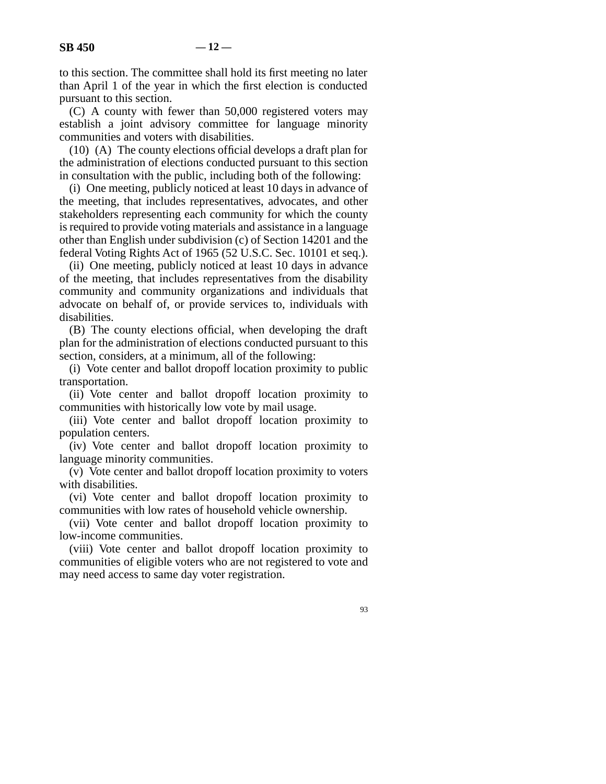(C) A county with fewer than 50,000 registered voters may establish a joint advisory committee for language minority communities and voters with disabilities.

(10) (A) The county elections official develops a draft plan for the administration of elections conducted pursuant to this section in consultation with the public, including both of the following:

(i) One meeting, publicly noticed at least 10 days in advance of the meeting, that includes representatives, advocates, and other stakeholders representing each community for which the county is required to provide voting materials and assistance in a language other than English under subdivision (c) of Section 14201 and the federal Voting Rights Act of 1965 (52 U.S.C. Sec. 10101 et seq.).

(ii) One meeting, publicly noticed at least 10 days in advance of the meeting, that includes representatives from the disability community and community organizations and individuals that advocate on behalf of, or provide services to, individuals with disabilities.

(B) The county elections official, when developing the draft plan for the administration of elections conducted pursuant to this section, considers, at a minimum, all of the following:

(i) Vote center and ballot dropoff location proximity to public transportation.

(ii) Vote center and ballot dropoff location proximity to communities with historically low vote by mail usage.

(iii) Vote center and ballot dropoff location proximity to population centers.

(iv) Vote center and ballot dropoff location proximity to language minority communities.

(v) Vote center and ballot dropoff location proximity to voters with disabilities.

(vi) Vote center and ballot dropoff location proximity to communities with low rates of household vehicle ownership.

(vii) Vote center and ballot dropoff location proximity to low-income communities.

(viii) Vote center and ballot dropoff location proximity to communities of eligible voters who are not registered to vote and may need access to same day voter registration.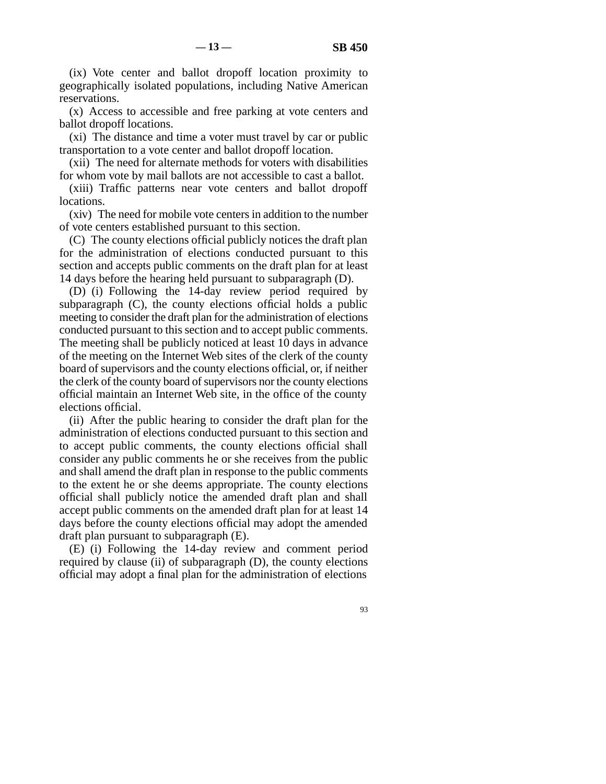(ix) Vote center and ballot dropoff location proximity to geographically isolated populations, including Native American reservations.

(x) Access to accessible and free parking at vote centers and ballot dropoff locations.

(xi) The distance and time a voter must travel by car or public transportation to a vote center and ballot dropoff location.

(xii) The need for alternate methods for voters with disabilities for whom vote by mail ballots are not accessible to cast a ballot.

(xiii) Traffic patterns near vote centers and ballot dropoff locations.

(xiv) The need for mobile vote centers in addition to the number of vote centers established pursuant to this section.

(C) The county elections official publicly notices the draft plan for the administration of elections conducted pursuant to this section and accepts public comments on the draft plan for at least 14 days before the hearing held pursuant to subparagraph (D).

(D) (i) Following the 14-day review period required by subparagraph (C), the county elections official holds a public meeting to consider the draft plan for the administration of elections conducted pursuant to this section and to accept public comments. The meeting shall be publicly noticed at least 10 days in advance of the meeting on the Internet Web sites of the clerk of the county board of supervisors and the county elections official, or, if neither the clerk of the county board of supervisors nor the county elections official maintain an Internet Web site, in the office of the county elections official.

(ii) After the public hearing to consider the draft plan for the administration of elections conducted pursuant to this section and to accept public comments, the county elections official shall consider any public comments he or she receives from the public and shall amend the draft plan in response to the public comments to the extent he or she deems appropriate. The county elections official shall publicly notice the amended draft plan and shall accept public comments on the amended draft plan for at least 14 days before the county elections official may adopt the amended draft plan pursuant to subparagraph (E).

(E) (i) Following the 14-day review and comment period required by clause (ii) of subparagraph (D), the county elections official may adopt a final plan for the administration of elections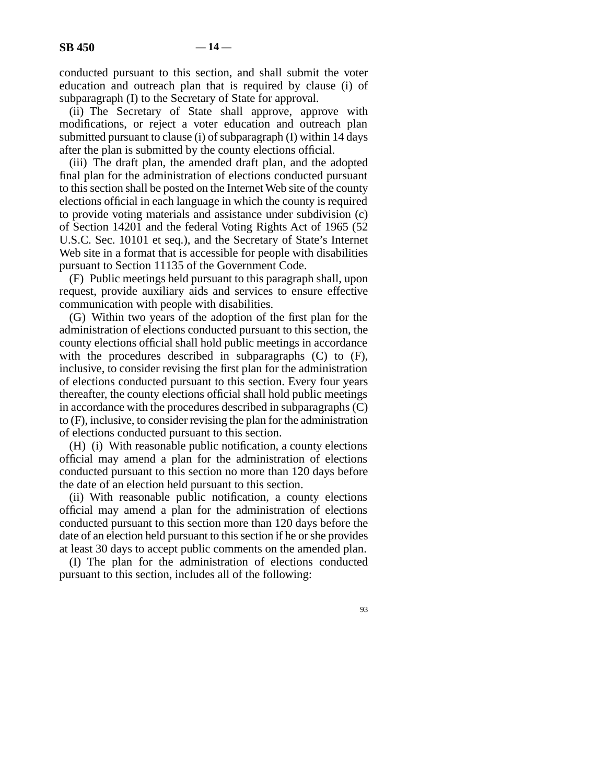conducted pursuant to this section, and shall submit the voter education and outreach plan that is required by clause (i) of subparagraph (I) to the Secretary of State for approval.

(ii) The Secretary of State shall approve, approve with modifications, or reject a voter education and outreach plan submitted pursuant to clause (i) of subparagraph (I) within 14 days after the plan is submitted by the county elections official.

(iii) The draft plan, the amended draft plan, and the adopted final plan for the administration of elections conducted pursuant to this section shall be posted on the Internet Web site of the county elections official in each language in which the county is required to provide voting materials and assistance under subdivision (c) of Section 14201 and the federal Voting Rights Act of 1965 (52 U.S.C. Sec. 10101 et seq.), and the Secretary of State's Internet Web site in a format that is accessible for people with disabilities pursuant to Section 11135 of the Government Code.

(F) Public meetings held pursuant to this paragraph shall, upon request, provide auxiliary aids and services to ensure effective communication with people with disabilities.

(G) Within two years of the adoption of the first plan for the administration of elections conducted pursuant to this section, the county elections official shall hold public meetings in accordance with the procedures described in subparagraphs (C) to (F), inclusive, to consider revising the first plan for the administration of elections conducted pursuant to this section. Every four years thereafter, the county elections official shall hold public meetings in accordance with the procedures described in subparagraphs (C) to (F), inclusive, to consider revising the plan for the administration of elections conducted pursuant to this section.

(H) (i) With reasonable public notification, a county elections official may amend a plan for the administration of elections conducted pursuant to this section no more than 120 days before the date of an election held pursuant to this section.

(ii) With reasonable public notification, a county elections official may amend a plan for the administration of elections conducted pursuant to this section more than 120 days before the date of an election held pursuant to this section if he or she provides at least 30 days to accept public comments on the amended plan.

(I) The plan for the administration of elections conducted pursuant to this section, includes all of the following: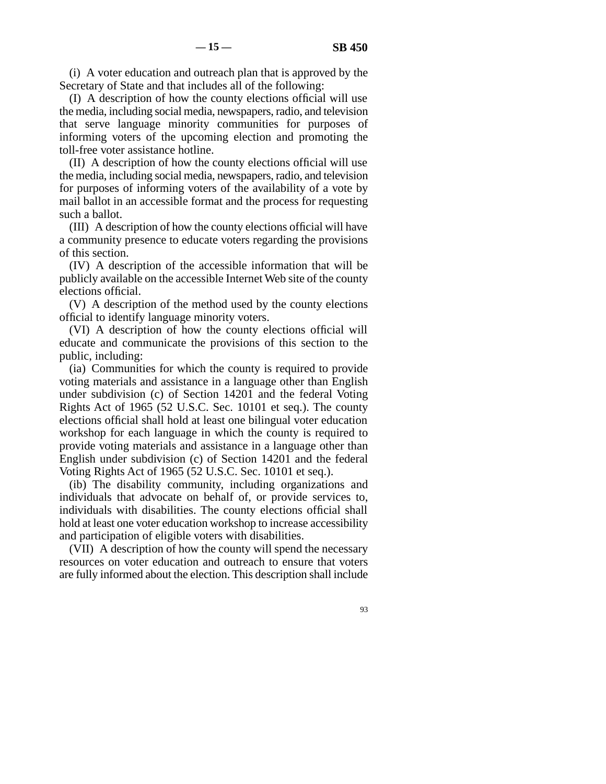(i) A voter education and outreach plan that is approved by the Secretary of State and that includes all of the following:

(I) A description of how the county elections official will use the media, including social media, newspapers, radio, and television that serve language minority communities for purposes of informing voters of the upcoming election and promoting the toll-free voter assistance hotline.

(II) A description of how the county elections official will use the media, including social media, newspapers, radio, and television for purposes of informing voters of the availability of a vote by mail ballot in an accessible format and the process for requesting such a ballot.

(III) A description of how the county elections official will have a community presence to educate voters regarding the provisions of this section.

(IV) A description of the accessible information that will be publicly available on the accessible Internet Web site of the county elections official.

(V) A description of the method used by the county elections official to identify language minority voters.

(VI) A description of how the county elections official will educate and communicate the provisions of this section to the public, including:

(ia) Communities for which the county is required to provide voting materials and assistance in a language other than English under subdivision (c) of Section 14201 and the federal Voting Rights Act of 1965 (52 U.S.C. Sec. 10101 et seq.). The county elections official shall hold at least one bilingual voter education workshop for each language in which the county is required to provide voting materials and assistance in a language other than English under subdivision (c) of Section 14201 and the federal Voting Rights Act of 1965 (52 U.S.C. Sec. 10101 et seq.).

(ib) The disability community, including organizations and individuals that advocate on behalf of, or provide services to, individuals with disabilities. The county elections official shall hold at least one voter education workshop to increase accessibility and participation of eligible voters with disabilities.

(VII) A description of how the county will spend the necessary resources on voter education and outreach to ensure that voters are fully informed about the election. This description shall include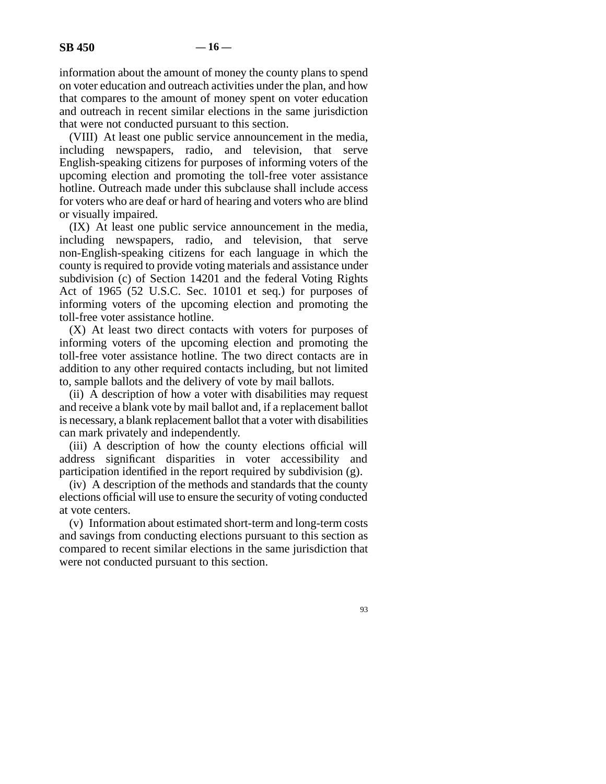information about the amount of money the county plans to spend on voter education and outreach activities under the plan, and how that compares to the amount of money spent on voter education and outreach in recent similar elections in the same jurisdiction that were not conducted pursuant to this section.

(VIII) At least one public service announcement in the media, including newspapers, radio, and television, that serve English-speaking citizens for purposes of informing voters of the upcoming election and promoting the toll-free voter assistance hotline. Outreach made under this subclause shall include access for voters who are deaf or hard of hearing and voters who are blind or visually impaired.

(IX) At least one public service announcement in the media, including newspapers, radio, and television, that serve non-English-speaking citizens for each language in which the county is required to provide voting materials and assistance under subdivision (c) of Section 14201 and the federal Voting Rights Act of 1965 (52 U.S.C. Sec. 10101 et seq.) for purposes of informing voters of the upcoming election and promoting the toll-free voter assistance hotline.

(X) At least two direct contacts with voters for purposes of informing voters of the upcoming election and promoting the toll-free voter assistance hotline. The two direct contacts are in addition to any other required contacts including, but not limited to, sample ballots and the delivery of vote by mail ballots.

(ii) A description of how a voter with disabilities may request and receive a blank vote by mail ballot and, if a replacement ballot is necessary, a blank replacement ballot that a voter with disabilities can mark privately and independently.

(iii) A description of how the county elections official will address significant disparities in voter accessibility and participation identified in the report required by subdivision (g).

(iv) A description of the methods and standards that the county elections official will use to ensure the security of voting conducted at vote centers.

(v) Information about estimated short-term and long-term costs and savings from conducting elections pursuant to this section as compared to recent similar elections in the same jurisdiction that were not conducted pursuant to this section.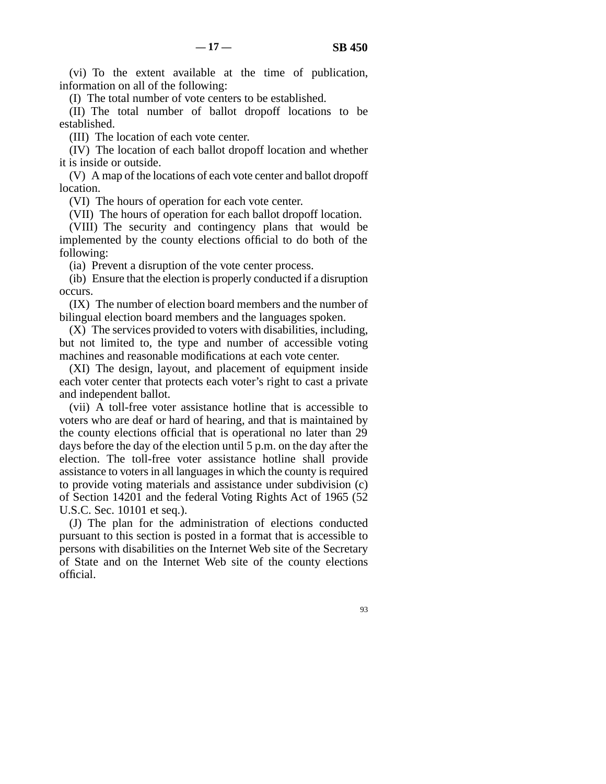(vi) To the extent available at the time of publication, information on all of the following:

(I) The total number of vote centers to be established.

(II) The total number of ballot dropoff locations to be established.

(III) The location of each vote center.

(IV) The location of each ballot dropoff location and whether it is inside or outside.

(V) A map of the locations of each vote center and ballot dropoff location.

(VI) The hours of operation for each vote center.

(VII) The hours of operation for each ballot dropoff location.

(VIII) The security and contingency plans that would be implemented by the county elections official to do both of the following:

(ia) Prevent a disruption of the vote center process.

(ib) Ensure that the election is properly conducted if a disruption occurs.

(IX) The number of election board members and the number of bilingual election board members and the languages spoken.

(X) The services provided to voters with disabilities, including, but not limited to, the type and number of accessible voting machines and reasonable modifications at each vote center.

(XI) The design, layout, and placement of equipment inside each voter center that protects each voter's right to cast a private and independent ballot.

(vii) A toll-free voter assistance hotline that is accessible to voters who are deaf or hard of hearing, and that is maintained by the county elections official that is operational no later than 29 days before the day of the election until 5 p.m. on the day after the election. The toll-free voter assistance hotline shall provide assistance to voters in all languages in which the county is required to provide voting materials and assistance under subdivision (c) of Section 14201 and the federal Voting Rights Act of 1965 (52 U.S.C. Sec. 10101 et seq.).

(J) The plan for the administration of elections conducted pursuant to this section is posted in a format that is accessible to persons with disabilities on the Internet Web site of the Secretary of State and on the Internet Web site of the county elections official.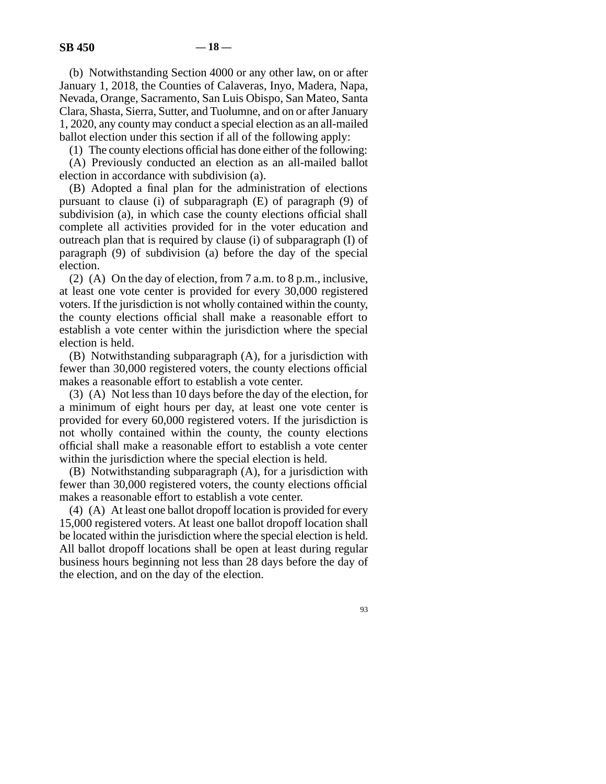(b) Notwithstanding Section 4000 or any other law, on or after January 1, 2018, the Counties of Calaveras, Inyo, Madera, Napa, Nevada, Orange, Sacramento, San Luis Obispo, San Mateo, Santa Clara, Shasta, Sierra, Sutter, and Tuolumne, and on or after January 1, 2020, any county may conduct a special election as an all-mailed ballot election under this section if all of the following apply:

(1) The county elections official has done either of the following:

(A) Previously conducted an election as an all-mailed ballot election in accordance with subdivision (a).

(B) Adopted a final plan for the administration of elections pursuant to clause (i) of subparagraph (E) of paragraph (9) of subdivision (a), in which case the county elections official shall complete all activities provided for in the voter education and outreach plan that is required by clause (i) of subparagraph (I) of paragraph (9) of subdivision (a) before the day of the special election.

(2) (A) On the day of election, from 7 a.m. to 8 p.m., inclusive, at least one vote center is provided for every 30,000 registered voters. If the jurisdiction is not wholly contained within the county, the county elections official shall make a reasonable effort to establish a vote center within the jurisdiction where the special election is held.

(B) Notwithstanding subparagraph (A), for a jurisdiction with fewer than 30,000 registered voters, the county elections official makes a reasonable effort to establish a vote center.

(3) (A) Not less than 10 days before the day of the election, for a minimum of eight hours per day, at least one vote center is provided for every 60,000 registered voters. If the jurisdiction is not wholly contained within the county, the county elections official shall make a reasonable effort to establish a vote center within the jurisdiction where the special election is held.

(B) Notwithstanding subparagraph (A), for a jurisdiction with fewer than 30,000 registered voters, the county elections official makes a reasonable effort to establish a vote center.

(4) (A) At least one ballot dropoff location is provided for every 15,000 registered voters. At least one ballot dropoff location shall be located within the jurisdiction where the special election is held. All ballot dropoff locations shall be open at least during regular business hours beginning not less than 28 days before the day of the election, and on the day of the election.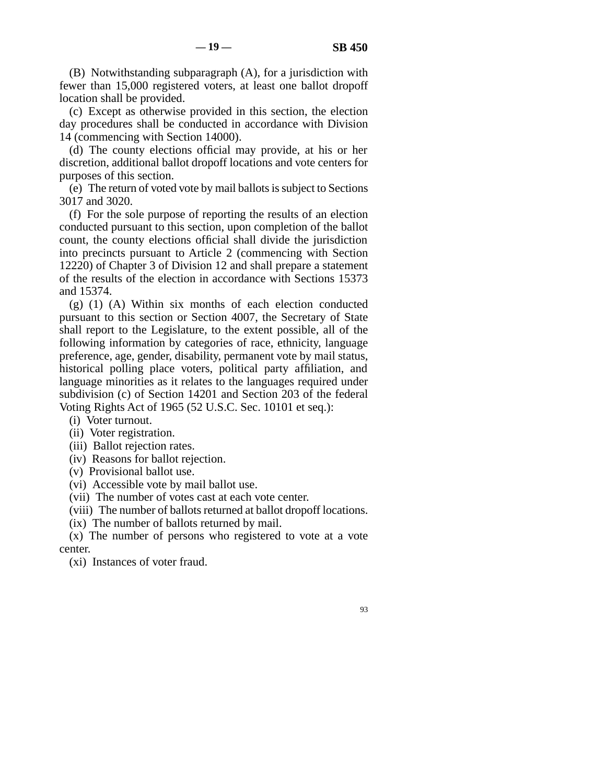(B) Notwithstanding subparagraph (A), for a jurisdiction with fewer than 15,000 registered voters, at least one ballot dropoff location shall be provided.

(c) Except as otherwise provided in this section, the election day procedures shall be conducted in accordance with Division 14 (commencing with Section 14000).

(d) The county elections official may provide, at his or her discretion, additional ballot dropoff locations and vote centers for purposes of this section.

(e) The return of voted vote by mail ballots is subject to Sections 3017 and 3020.

(f) For the sole purpose of reporting the results of an election conducted pursuant to this section, upon completion of the ballot count, the county elections official shall divide the jurisdiction into precincts pursuant to Article 2 (commencing with Section 12220) of Chapter 3 of Division 12 and shall prepare a statement of the results of the election in accordance with Sections 15373 and 15374.

 $(g)$   $(1)$   $(A)$  Within six months of each election conducted pursuant to this section or Section 4007, the Secretary of State shall report to the Legislature, to the extent possible, all of the following information by categories of race, ethnicity, language preference, age, gender, disability, permanent vote by mail status, historical polling place voters, political party affiliation, and language minorities as it relates to the languages required under subdivision (c) of Section 14201 and Section 203 of the federal Voting Rights Act of 1965 (52 U.S.C. Sec. 10101 et seq.):

- (i) Voter turnout.
- (ii) Voter registration.
- (iii) Ballot rejection rates.
- (iv) Reasons for ballot rejection.
- (v) Provisional ballot use.
- (vi) Accessible vote by mail ballot use.
- (vii) The number of votes cast at each vote center.
- (viii) The number of ballots returned at ballot dropoff locations.
- (ix) The number of ballots returned by mail.

(x) The number of persons who registered to vote at a vote center.

(xi) Instances of voter fraud.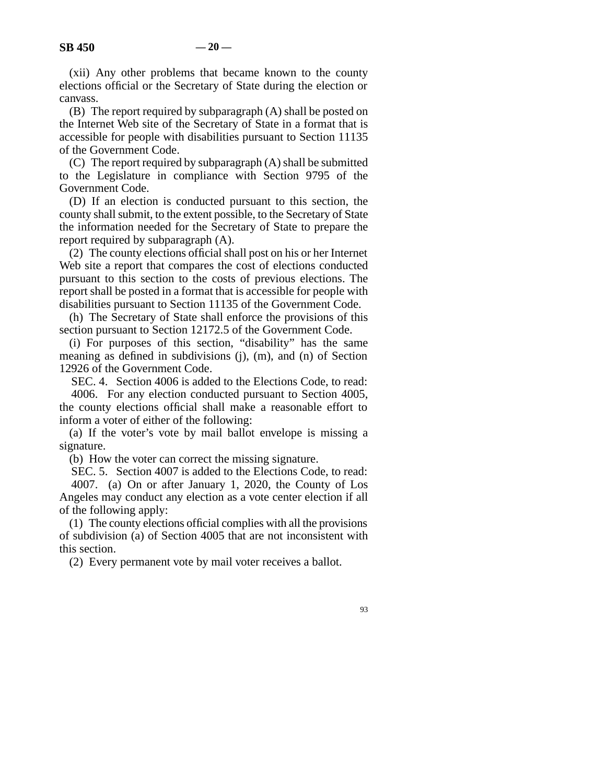(xii) Any other problems that became known to the county elections official or the Secretary of State during the election or canvass.

(B) The report required by subparagraph (A) shall be posted on the Internet Web site of the Secretary of State in a format that is accessible for people with disabilities pursuant to Section 11135 of the Government Code.

(C) The report required by subparagraph (A) shall be submitted to the Legislature in compliance with Section 9795 of the Government Code.

(D) If an election is conducted pursuant to this section, the county shall submit, to the extent possible, to the Secretary of State the information needed for the Secretary of State to prepare the report required by subparagraph (A).

(2) The county elections official shall post on his or her Internet Web site a report that compares the cost of elections conducted pursuant to this section to the costs of previous elections. The report shall be posted in a format that is accessible for people with disabilities pursuant to Section 11135 of the Government Code.

(h) The Secretary of State shall enforce the provisions of this section pursuant to Section 12172.5 of the Government Code.

(i) For purposes of this section, "disability" has the same meaning as defined in subdivisions (j), (m), and (n) of Section 12926 of the Government Code.

SEC. 4. Section 4006 is added to the Elections Code, to read: 4006. For any election conducted pursuant to Section 4005, the county elections official shall make a reasonable effort to inform a voter of either of the following:

(a) If the voter's vote by mail ballot envelope is missing a signature.

(b) How the voter can correct the missing signature.

SEC. 5. Section 4007 is added to the Elections Code, to read: 4007. (a) On or after January 1, 2020, the County of Los Angeles may conduct any election as a vote center election if all of the following apply:

(1) The county elections official complies with all the provisions of subdivision (a) of Section 4005 that are not inconsistent with this section.

(2) Every permanent vote by mail voter receives a ballot.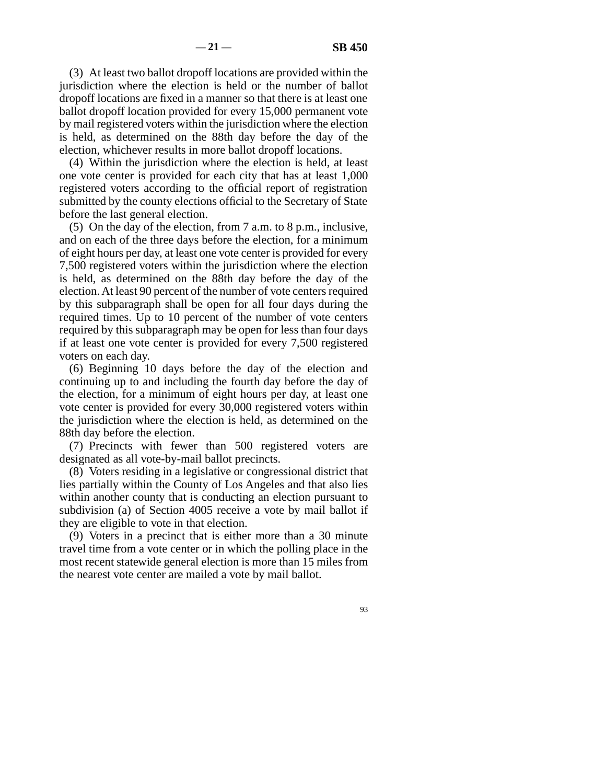(3) At least two ballot dropoff locations are provided within the jurisdiction where the election is held or the number of ballot dropoff locations are fixed in a manner so that there is at least one ballot dropoff location provided for every 15,000 permanent vote by mail registered voters within the jurisdiction where the election is held, as determined on the 88th day before the day of the election, whichever results in more ballot dropoff locations.

(4) Within the jurisdiction where the election is held, at least one vote center is provided for each city that has at least 1,000 registered voters according to the official report of registration submitted by the county elections official to the Secretary of State before the last general election.

(5) On the day of the election, from 7 a.m. to 8 p.m., inclusive, and on each of the three days before the election, for a minimum of eight hours per day, at least one vote center is provided for every 7,500 registered voters within the jurisdiction where the election is held, as determined on the 88th day before the day of the election. At least 90 percent of the number of vote centers required by this subparagraph shall be open for all four days during the required times. Up to 10 percent of the number of vote centers required by this subparagraph may be open for less than four days if at least one vote center is provided for every 7,500 registered voters on each day.

(6) Beginning 10 days before the day of the election and continuing up to and including the fourth day before the day of the election, for a minimum of eight hours per day, at least one vote center is provided for every 30,000 registered voters within the jurisdiction where the election is held, as determined on the 88th day before the election.

(7) Precincts with fewer than 500 registered voters are designated as all vote-by-mail ballot precincts.

(8) Voters residing in a legislative or congressional district that lies partially within the County of Los Angeles and that also lies within another county that is conducting an election pursuant to subdivision (a) of Section 4005 receive a vote by mail ballot if they are eligible to vote in that election.

(9) Voters in a precinct that is either more than a 30 minute travel time from a vote center or in which the polling place in the most recent statewide general election is more than 15 miles from the nearest vote center are mailed a vote by mail ballot.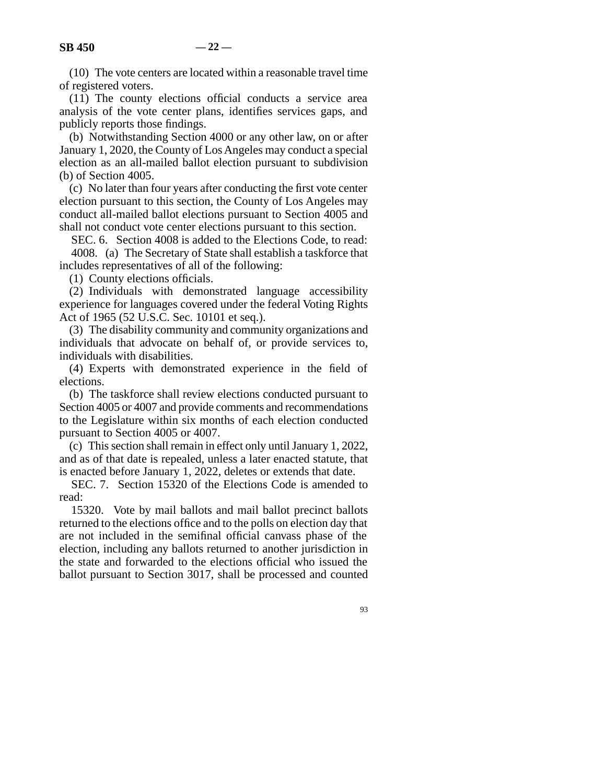(11) The county elections official conducts a service area analysis of the vote center plans, identifies services gaps, and publicly reports those findings.

(b) Notwithstanding Section 4000 or any other law, on or after January 1, 2020, the County of Los Angeles may conduct a special election as an all-mailed ballot election pursuant to subdivision (b) of Section 4005.

(c) No later than four years after conducting the first vote center election pursuant to this section, the County of Los Angeles may conduct all-mailed ballot elections pursuant to Section 4005 and shall not conduct vote center elections pursuant to this section.

SEC. 6. Section 4008 is added to the Elections Code, to read: 4008. (a) The Secretary of State shall establish a taskforce that includes representatives of all of the following:

(1) County elections officials.

(2) Individuals with demonstrated language accessibility experience for languages covered under the federal Voting Rights Act of 1965 (52 U.S.C. Sec. 10101 et seq.).

(3) The disability community and community organizations and individuals that advocate on behalf of, or provide services to, individuals with disabilities.

(4) Experts with demonstrated experience in the field of elections.

(b) The taskforce shall review elections conducted pursuant to Section 4005 or 4007 and provide comments and recommendations to the Legislature within six months of each election conducted pursuant to Section 4005 or 4007.

(c) This section shall remain in effect only until January 1, 2022, and as of that date is repealed, unless a later enacted statute, that is enacted before January 1, 2022, deletes or extends that date.

SEC. 7. Section 15320 of the Elections Code is amended to read:

15320. Vote by mail ballots and mail ballot precinct ballots returned to the elections office and to the polls on election day that are not included in the semifinal official canvass phase of the election, including any ballots returned to another jurisdiction in the state and forwarded to the elections official who issued the ballot pursuant to Section 3017, shall be processed and counted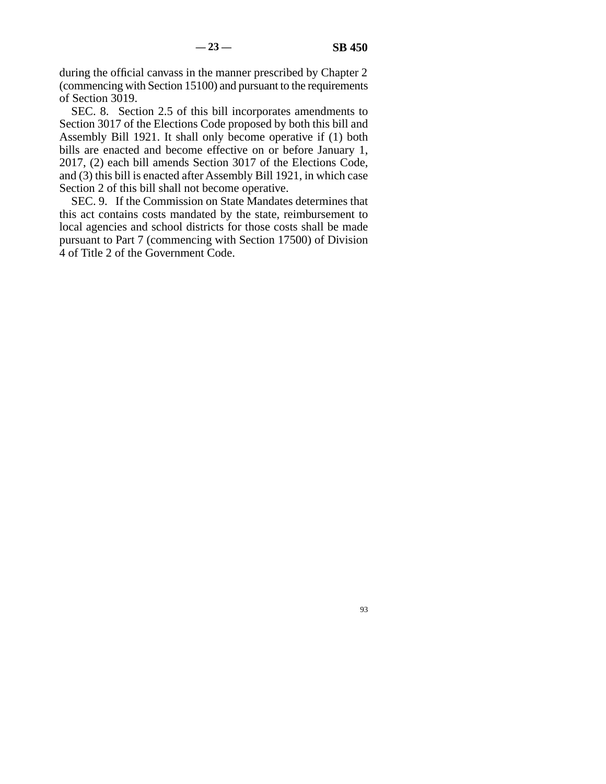during the official canvass in the manner prescribed by Chapter 2 (commencing with Section 15100) and pursuant to the requirements of Section 3019.

SEC. 8. Section 2.5 of this bill incorporates amendments to Section 3017 of the Elections Code proposed by both this bill and Assembly Bill 1921. It shall only become operative if (1) both bills are enacted and become effective on or before January 1, 2017, (2) each bill amends Section 3017 of the Elections Code, and (3) this bill is enacted after Assembly Bill 1921, in which case Section 2 of this bill shall not become operative.

SEC. 9. If the Commission on State Mandates determines that this act contains costs mandated by the state, reimbursement to local agencies and school districts for those costs shall be made pursuant to Part 7 (commencing with Section 17500) of Division 4 of Title 2 of the Government Code.